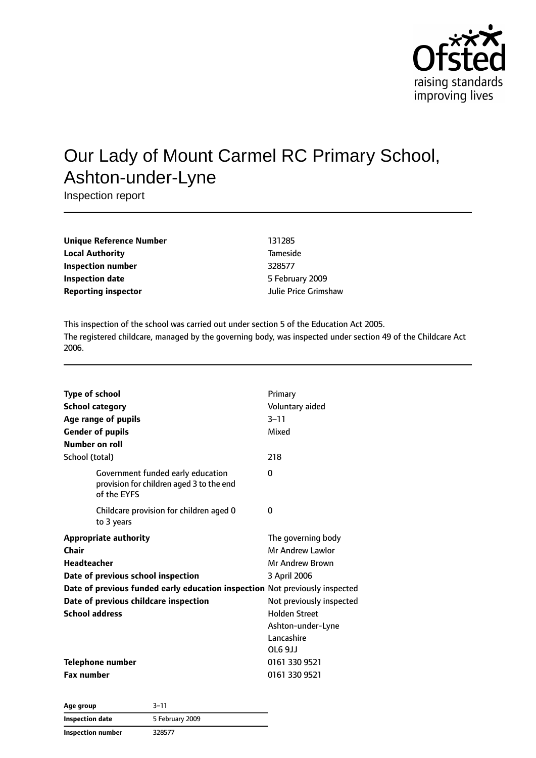

# Our Lady of Mount Carmel RC Primary School, Ashton-under-Lyne

Inspection report

| Unique Reference Number    | 131285               |
|----------------------------|----------------------|
| <b>Local Authority</b>     | <b>Tameside</b>      |
| Inspection number          | 328577               |
| <b>Inspection date</b>     | 5 February 2009      |
| <b>Reporting inspector</b> | Julie Price Grimshaw |

This inspection of the school was carried out under section 5 of the Education Act 2005. The registered childcare, managed by the governing body, was inspected under section 49 of the Childcare Act 2006.

| <b>Type of school</b>                                                                        | Primary                  |
|----------------------------------------------------------------------------------------------|--------------------------|
| <b>School category</b>                                                                       | Voluntary aided          |
| Age range of pupils                                                                          | $3 - 11$                 |
| <b>Gender of pupils</b>                                                                      | Mixed                    |
| Number on roll                                                                               |                          |
| School (total)                                                                               | 218                      |
| Government funded early education<br>provision for children aged 3 to the end<br>of the EYFS | $\Omega$                 |
| Childcare provision for children aged 0<br>to 3 years                                        | 0                        |
| <b>Appropriate authority</b>                                                                 | The governing body       |
| Chair                                                                                        | Mr Andrew Lawlor         |
| <b>Headteacher</b>                                                                           | Mr Andrew Brown          |
| Date of previous school inspection                                                           | 3 April 2006             |
| Date of previous funded early education inspection Not previously inspected                  |                          |
| Date of previous childcare inspection                                                        | Not previously inspected |
| <b>School address</b>                                                                        | <b>Holden Street</b>     |
|                                                                                              | Ashton-under-Lyne        |
|                                                                                              | Lancashire               |
|                                                                                              | OL6 9JJ                  |
| Telephone number                                                                             | 0161 330 9521            |
| <b>Fax number</b>                                                                            | 0161 330 9521            |

| Age group                | $3 - 11$        |  |
|--------------------------|-----------------|--|
| Inspection date          | 5 February 2009 |  |
| <b>Inspection number</b> | 328577          |  |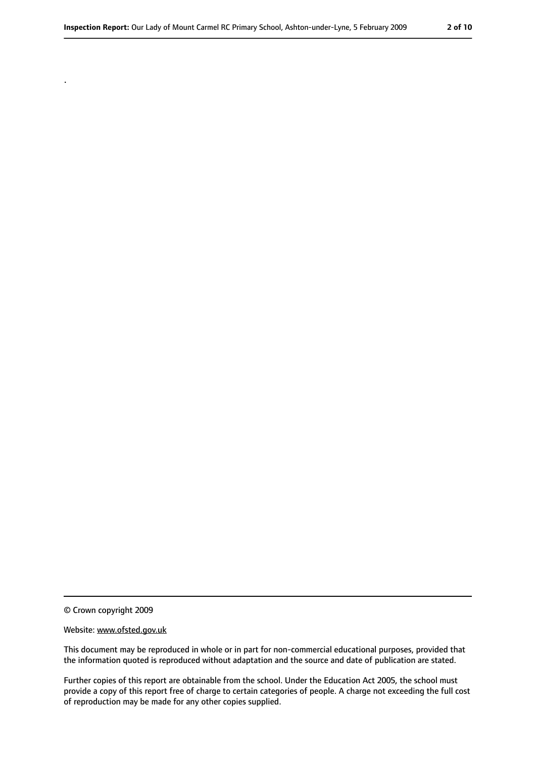© Crown copyright 2009

.

#### Website: www.ofsted.gov.uk

This document may be reproduced in whole or in part for non-commercial educational purposes, provided that the information quoted is reproduced without adaptation and the source and date of publication are stated.

Further copies of this report are obtainable from the school. Under the Education Act 2005, the school must provide a copy of this report free of charge to certain categories of people. A charge not exceeding the full cost of reproduction may be made for any other copies supplied.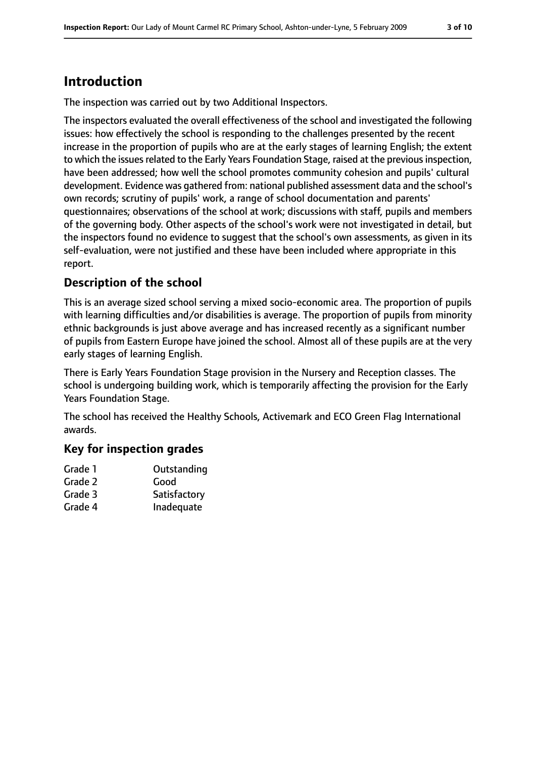# **Introduction**

The inspection was carried out by two Additional Inspectors.

The inspectors evaluated the overall effectiveness of the school and investigated the following issues: how effectively the school is responding to the challenges presented by the recent increase in the proportion of pupils who are at the early stages of learning English; the extent to which the issues related to the Early Years Foundation Stage, raised at the previous inspection, have been addressed; how well the school promotes community cohesion and pupils' cultural development. Evidence was gathered from: national published assessment data and the school's own records; scrutiny of pupils' work, a range of school documentation and parents' questionnaires; observations of the school at work; discussions with staff, pupils and members of the governing body. Other aspects of the school's work were not investigated in detail, but the inspectors found no evidence to suggest that the school's own assessments, as given in its self-evaluation, were not justified and these have been included where appropriate in this report.

### **Description of the school**

This is an average sized school serving a mixed socio-economic area. The proportion of pupils with learning difficulties and/or disabilities is average. The proportion of pupils from minority ethnic backgrounds is just above average and has increased recently as a significant number of pupils from Eastern Europe have joined the school. Almost all of these pupils are at the very early stages of learning English.

There is Early Years Foundation Stage provision in the Nursery and Reception classes. The school is undergoing building work, which is temporarily affecting the provision for the Early Years Foundation Stage.

The school has received the Healthy Schools, Activemark and ECO Green Flag International awards.

### **Key for inspection grades**

| Outstanding  |
|--------------|
| Good         |
| Satisfactory |
| Inadequate   |
|              |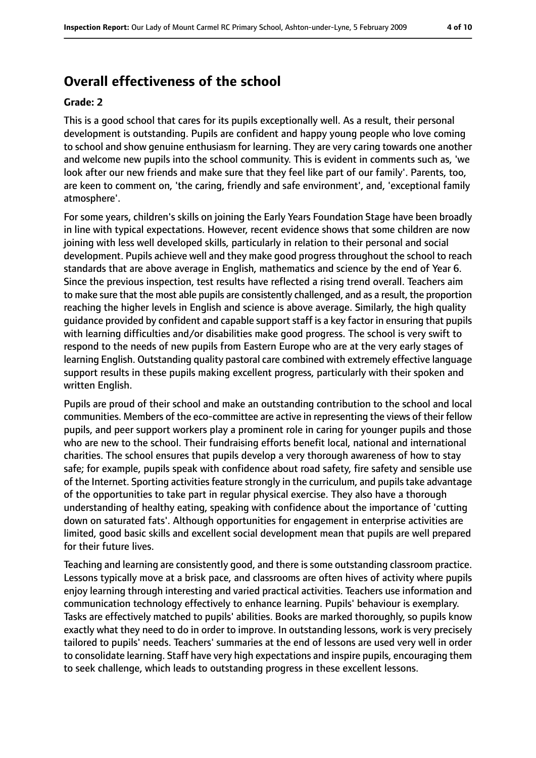## **Overall effectiveness of the school**

#### **Grade: 2**

This is a good school that cares for its pupils exceptionally well. As a result, their personal development is outstanding. Pupils are confident and happy young people who love coming to school and show genuine enthusiasm for learning. They are very caring towards one another and welcome new pupils into the school community. This is evident in comments such as, 'we look after our new friends and make sure that they feel like part of our family'. Parents, too, are keen to comment on, 'the caring, friendly and safe environment', and, 'exceptional family atmosphere'.

For some years, children's skills on joining the Early Years Foundation Stage have been broadly in line with typical expectations. However, recent evidence shows that some children are now joining with less well developed skills, particularly in relation to their personal and social development. Pupils achieve well and they make good progress throughout the school to reach standards that are above average in English, mathematics and science by the end of Year 6. Since the previous inspection, test results have reflected a rising trend overall. Teachers aim to make sure that the most able pupils are consistently challenged, and as a result, the proportion reaching the higher levels in English and science is above average. Similarly, the high quality guidance provided by confident and capable support staff is a key factor in ensuring that pupils with learning difficulties and/or disabilities make good progress. The school is very swift to respond to the needs of new pupils from Eastern Europe who are at the very early stages of learning English. Outstanding quality pastoral care combined with extremely effective language support results in these pupils making excellent progress, particularly with their spoken and written English.

Pupils are proud of their school and make an outstanding contribution to the school and local communities. Members of the eco-committee are active in representing the views of their fellow pupils, and peer support workers play a prominent role in caring for younger pupils and those who are new to the school. Their fundraising efforts benefit local, national and international charities. The school ensures that pupils develop a very thorough awareness of how to stay safe; for example, pupils speak with confidence about road safety, fire safety and sensible use of the Internet. Sporting activities feature strongly in the curriculum, and pupils take advantage of the opportunities to take part in regular physical exercise. They also have a thorough understanding of healthy eating, speaking with confidence about the importance of 'cutting down on saturated fats'. Although opportunities for engagement in enterprise activities are limited, good basic skills and excellent social development mean that pupils are well prepared for their future lives.

Teaching and learning are consistently good, and there is some outstanding classroom practice. Lessons typically move at a brisk pace, and classrooms are often hives of activity where pupils enjoy learning through interesting and varied practical activities. Teachers use information and communication technology effectively to enhance learning. Pupils' behaviour is exemplary. Tasks are effectively matched to pupils' abilities. Books are marked thoroughly, so pupils know exactly what they need to do in order to improve. In outstanding lessons, work is very precisely tailored to pupils' needs. Teachers' summaries at the end of lessons are used very well in order to consolidate learning. Staff have very high expectations and inspire pupils, encouraging them to seek challenge, which leads to outstanding progress in these excellent lessons.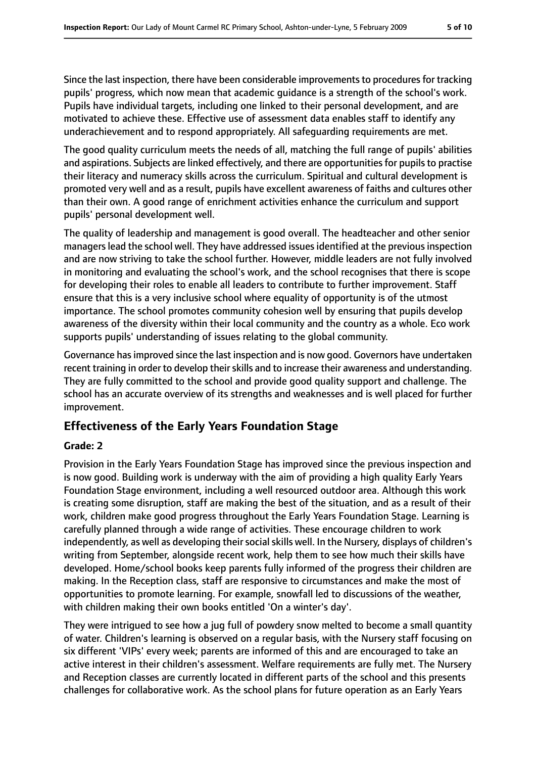Since the last inspection, there have been considerable improvements to procedures for tracking pupils' progress, which now mean that academic guidance is a strength of the school's work. Pupils have individual targets, including one linked to their personal development, and are motivated to achieve these. Effective use of assessment data enables staff to identify any underachievement and to respond appropriately. All safeguarding requirements are met.

The good quality curriculum meets the needs of all, matching the full range of pupils' abilities and aspirations. Subjects are linked effectively, and there are opportunities for pupils to practise their literacy and numeracy skills across the curriculum. Spiritual and cultural development is promoted very well and as a result, pupils have excellent awareness of faiths and cultures other than their own. A good range of enrichment activities enhance the curriculum and support pupils' personal development well.

The quality of leadership and management is good overall. The headteacher and other senior managers lead the school well. They have addressed issues identified at the previous inspection and are now striving to take the school further. However, middle leaders are not fully involved in monitoring and evaluating the school's work, and the school recognises that there is scope for developing their roles to enable all leaders to contribute to further improvement. Staff ensure that this is a very inclusive school where equality of opportunity is of the utmost importance. The school promotes community cohesion well by ensuring that pupils develop awareness of the diversity within their local community and the country as a whole. Eco work supports pupils' understanding of issues relating to the global community.

Governance hasimproved since the last inspection and is now good. Governors have undertaken recent training in order to develop their skills and to increase their awareness and understanding. They are fully committed to the school and provide good quality support and challenge. The school has an accurate overview of its strengths and weaknesses and is well placed for further improvement.

### **Effectiveness of the Early Years Foundation Stage**

#### **Grade: 2**

Provision in the Early Years Foundation Stage has improved since the previous inspection and is now good. Building work is underway with the aim of providing a high quality Early Years Foundation Stage environment, including a well resourced outdoor area. Although this work is creating some disruption, staff are making the best of the situation, and as a result of their work, children make good progress throughout the Early Years Foundation Stage. Learning is carefully planned through a wide range of activities. These encourage children to work independently, as well as developing their social skills well. In the Nursery, displays of children's writing from September, alongside recent work, help them to see how much their skills have developed. Home/school books keep parents fully informed of the progress their children are making. In the Reception class, staff are responsive to circumstances and make the most of opportunities to promote learning. For example, snowfall led to discussions of the weather, with children making their own books entitled 'On a winter's day'.

They were intrigued to see how a jug full of powdery snow melted to become a small quantity of water. Children's learning is observed on a regular basis, with the Nursery staff focusing on six different 'VIPs' every week; parents are informed of this and are encouraged to take an active interest in their children's assessment. Welfare requirements are fully met. The Nursery and Reception classes are currently located in different parts of the school and this presents challenges for collaborative work. As the school plans for future operation as an Early Years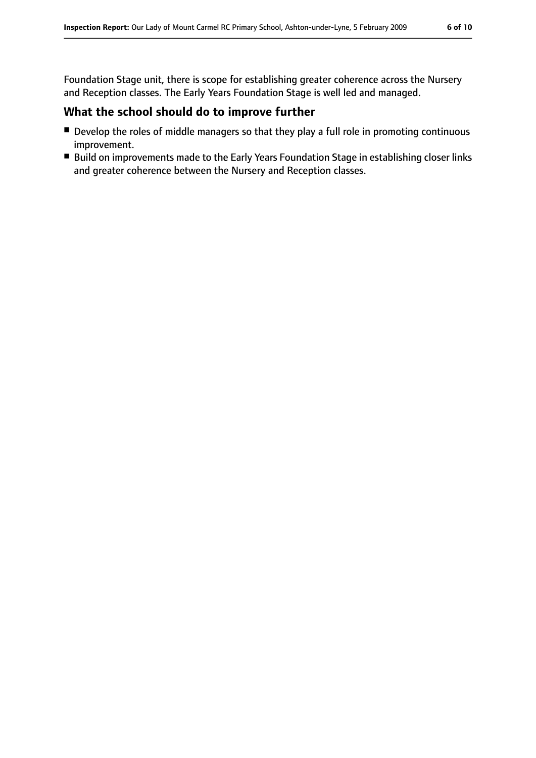Foundation Stage unit, there is scope for establishing greater coherence across the Nursery and Reception classes. The Early Years Foundation Stage is well led and managed.

### **What the school should do to improve further**

- Develop the roles of middle managers so that they play a full role in promoting continuous improvement.
- Build on improvements made to the Early Years Foundation Stage in establishing closer links and greater coherence between the Nursery and Reception classes.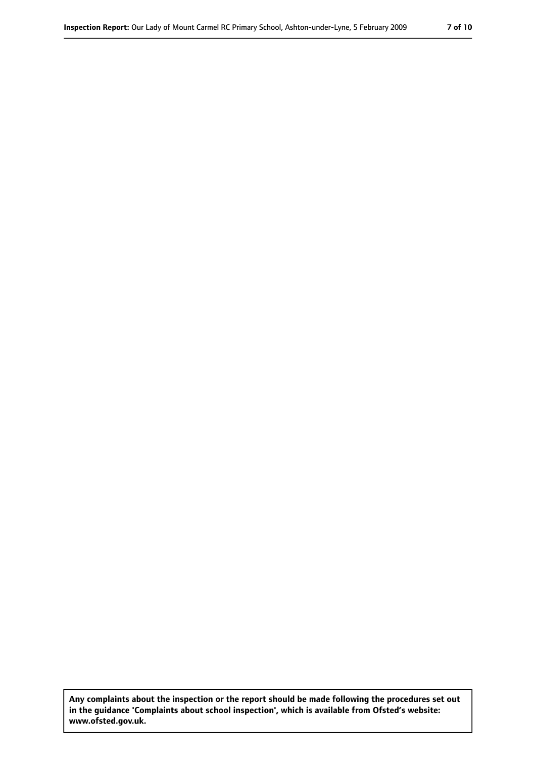**Any complaints about the inspection or the report should be made following the procedures set out in the guidance 'Complaints about school inspection', which is available from Ofsted's website: www.ofsted.gov.uk.**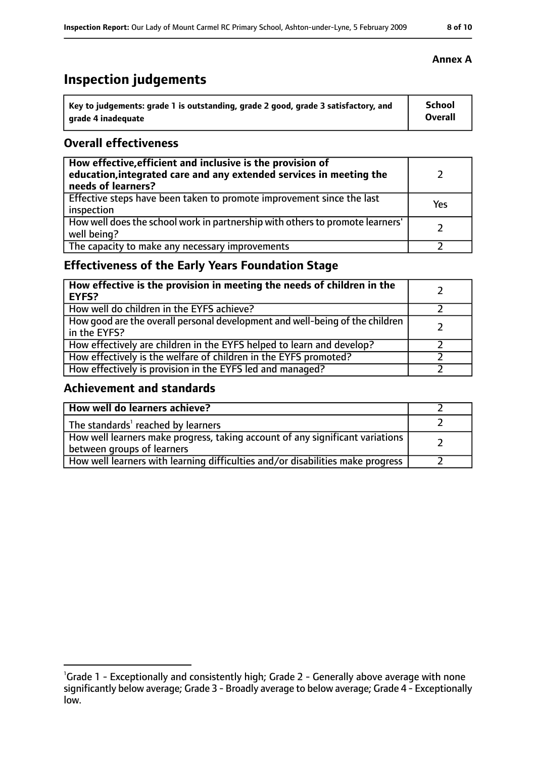# **Inspection judgements**

| $^{\cdot}$ Key to judgements: grade 1 is outstanding, grade 2 good, grade 3 satisfactory, and | <b>School</b> |
|-----------------------------------------------------------------------------------------------|---------------|
| arade 4 inadequate                                                                            | Overall       |

### **Overall effectiveness**

| How effective, efficient and inclusive is the provision of<br>education, integrated care and any extended services in meeting the<br>needs of learners? |     |
|---------------------------------------------------------------------------------------------------------------------------------------------------------|-----|
| Effective steps have been taken to promote improvement since the last<br>inspection                                                                     | Yes |
| How well does the school work in partnership with others to promote learners'<br>well being?                                                            |     |
| The capacity to make any necessary improvements                                                                                                         |     |

### **Effectiveness of the Early Years Foundation Stage**

| How effective is the provision in meeting the needs of children in the<br><b>EYFS?</b>       |  |
|----------------------------------------------------------------------------------------------|--|
| How well do children in the EYFS achieve?                                                    |  |
| How good are the overall personal development and well-being of the children<br>in the EYFS? |  |
| How effectively are children in the EYFS helped to learn and develop?                        |  |
| How effectively is the welfare of children in the EYFS promoted?                             |  |
| How effectively is provision in the EYFS led and managed?                                    |  |

### **Achievement and standards**

| How well do learners achieve?                                                                               |  |
|-------------------------------------------------------------------------------------------------------------|--|
| The standards <sup>1</sup> reached by learners                                                              |  |
| How well learners make progress, taking account of any significant variations<br>between groups of learners |  |
| How well learners with learning difficulties and/or disabilities make progress                              |  |

### **Annex A**

<sup>&</sup>lt;sup>1</sup>Grade 1 - Exceptionally and consistently high; Grade 2 - Generally above average with none

significantly below average; Grade 3 - Broadly average to below average; Grade 4 - Exceptionally low.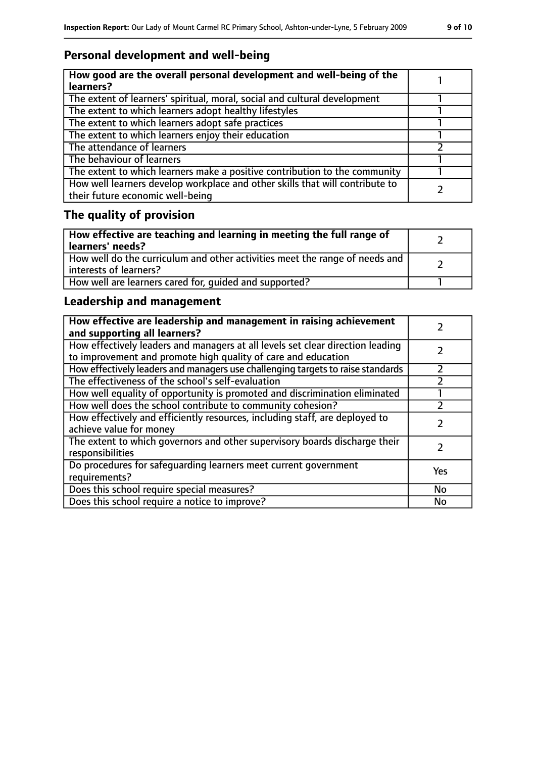### **Personal development and well-being**

| How good are the overall personal development and well-being of the<br>learners?                                 |  |
|------------------------------------------------------------------------------------------------------------------|--|
| The extent of learners' spiritual, moral, social and cultural development                                        |  |
| The extent to which learners adopt healthy lifestyles                                                            |  |
| The extent to which learners adopt safe practices                                                                |  |
| The extent to which learners enjoy their education                                                               |  |
| The attendance of learners                                                                                       |  |
| The behaviour of learners                                                                                        |  |
| The extent to which learners make a positive contribution to the community                                       |  |
| How well learners develop workplace and other skills that will contribute to<br>their future economic well-being |  |

### **The quality of provision**

| How effective are teaching and learning in meeting the full range of<br>learners' needs?              |  |
|-------------------------------------------------------------------------------------------------------|--|
| How well do the curriculum and other activities meet the range of needs and<br>interests of learners? |  |
| How well are learners cared for, quided and supported?                                                |  |

### **Leadership and management**

| How effective are leadership and management in raising achievement<br>and supporting all learners?                                              |           |
|-------------------------------------------------------------------------------------------------------------------------------------------------|-----------|
| How effectively leaders and managers at all levels set clear direction leading<br>to improvement and promote high quality of care and education |           |
| How effectively leaders and managers use challenging targets to raise standards                                                                 |           |
| The effectiveness of the school's self-evaluation                                                                                               |           |
| How well equality of opportunity is promoted and discrimination eliminated                                                                      |           |
| How well does the school contribute to community cohesion?                                                                                      |           |
| How effectively and efficiently resources, including staff, are deployed to<br>achieve value for money                                          |           |
| The extent to which governors and other supervisory boards discharge their<br>responsibilities                                                  |           |
| Do procedures for safequarding learners meet current government<br>requirements?                                                                | Yes       |
| Does this school require special measures?                                                                                                      | No        |
| Does this school require a notice to improve?                                                                                                   | <b>No</b> |